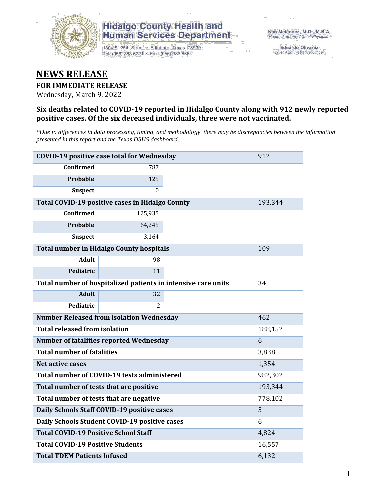

1304 S. 25th Street · Edinburg, Texas 78539 Tel: (956) 383-6221 · Fax: (956) 383-8864

**Eduardo Olivarez** Chief Administrative Officer

#### **NEWS RELEASE**

#### **FOR IMMEDIATE RELEASE**

Wednesday, March 9, 2022

#### **Six deaths related to COVID-19 reported in Hidalgo County along with 912 newly reported positive cases. Of the six deceased individuals, three were not vaccinated.**

*\*Due to differences in data processing, timing, and methodology, there may be discrepancies between the information presented in this report and the Texas DSHS dashboard.*

|                                                        | <b>COVID-19 positive case total for Wednesday</b>             |       |         |  |  |  |
|--------------------------------------------------------|---------------------------------------------------------------|-------|---------|--|--|--|
| <b>Confirmed</b>                                       | 787                                                           |       |         |  |  |  |
| Probable                                               | 125                                                           |       |         |  |  |  |
| <b>Suspect</b>                                         | $\Omega$                                                      |       |         |  |  |  |
|                                                        | Total COVID-19 positive cases in Hidalgo County               |       | 193,344 |  |  |  |
| Confirmed                                              | 125,935                                                       |       |         |  |  |  |
| <b>Probable</b>                                        | 64,245                                                        |       |         |  |  |  |
| <b>Suspect</b>                                         | 3,164                                                         |       |         |  |  |  |
|                                                        | <b>Total number in Hidalgo County hospitals</b>               |       | 109     |  |  |  |
| <b>Adult</b>                                           | 98                                                            |       |         |  |  |  |
| Pediatric                                              | 11                                                            |       |         |  |  |  |
|                                                        | Total number of hospitalized patients in intensive care units | 34    |         |  |  |  |
| <b>Adult</b>                                           | 32                                                            |       |         |  |  |  |
| Pediatric                                              | 2                                                             |       |         |  |  |  |
| <b>Number Released from isolation Wednesday</b><br>462 |                                                               |       |         |  |  |  |
| <b>Total released from isolation</b>                   |                                                               |       | 188,152 |  |  |  |
|                                                        | <b>Number of fatalities reported Wednesday</b>                |       | 6       |  |  |  |
| <b>Total number of fatalities</b>                      |                                                               |       | 3,838   |  |  |  |
| Net active cases                                       |                                                               |       | 1,354   |  |  |  |
|                                                        | Total number of COVID-19 tests administered                   |       | 982,302 |  |  |  |
| Total number of tests that are positive                |                                                               |       | 193,344 |  |  |  |
| Total number of tests that are negative                |                                                               |       | 778,102 |  |  |  |
|                                                        | Daily Schools Staff COVID-19 positive cases                   |       | 5       |  |  |  |
|                                                        | Daily Schools Student COVID-19 positive cases                 |       | 6       |  |  |  |
| <b>Total COVID-19 Positive School Staff</b>            |                                                               |       | 4,824   |  |  |  |
| <b>Total COVID-19 Positive Students</b><br>16,557      |                                                               |       |         |  |  |  |
| <b>Total TDEM Patients Infused</b>                     |                                                               | 6,132 |         |  |  |  |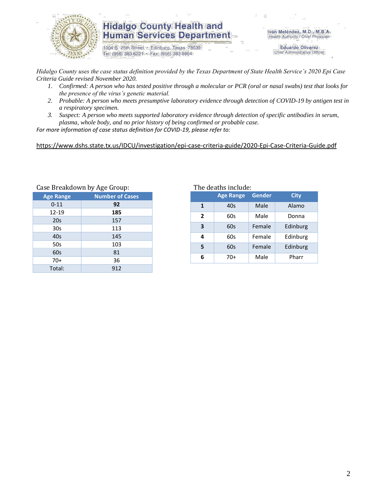

1304 S. 25th Street · Edinburg, Texas 78539 Tel: (956) 383-6221 · Fax: (956) 383-8864

Iván Meléndez, M.D., M.B.A. Health Authority / Chief Physician

> **Eduardo Olivarez** Chief Administrative Officer

*Hidalgo County uses the case status definition provided by the Texas Department of State Health Service's 2020 Epi Case Criteria Guide revised November 2020.*

- *1. Confirmed: A person who has tested positive through a molecular or PCR (oral or nasal swabs) test that looks for the presence of the virus's genetic material.*
- *2. Probable: A person who meets presumptive laboratory evidence through detection of COVID-19 by antigen test in a respiratory specimen.*
- *3. Suspect: A person who meets supported laboratory evidence through detection of specific antibodies in serum, plasma, whole body, and no prior history of being confirmed or probable case.*

*For more information of case status definition for COVID-19, please refer to:*

<https://www.dshs.state.tx.us/IDCU/investigation/epi-case-criteria-guide/2020-Epi-Case-Criteria-Guide.pdf>

| Case Breakdown by Age Group: |
|------------------------------|
| <b>Number of Cases</b>       |
| 92                           |
| 185                          |
| 157                          |
| 113                          |
| 145                          |
| 103                          |
| 81                           |
| 36                           |
| 912                          |
|                              |

Breakdown by Age Group: The deaths include:

|              | <b>Age Range</b> | <b>Gender</b> | <b>City</b> |  |  |
|--------------|------------------|---------------|-------------|--|--|
| 1            | 40s              | Male          | Alamo       |  |  |
| $\mathbf{z}$ | 60s              | Male          | Donna       |  |  |
| 3            | 60s              | Female        | Edinburg    |  |  |
| 4            | 60s              | Female        | Edinburg    |  |  |
| 5            | 60s              | Female        | Edinburg    |  |  |
| 6            | 70+              | Male          | Pharr       |  |  |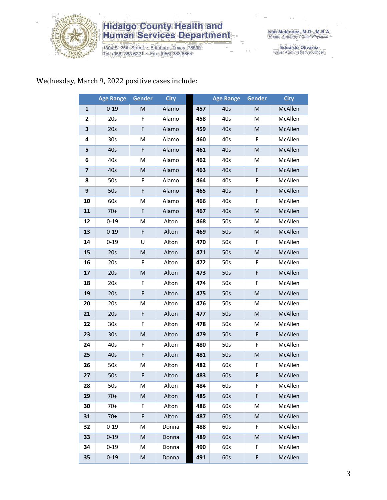

1304 S. 25th Street · Edinburg, Texas 78539<br>Tel: (956) 383-6221 · Fax: (956) 383-8864

Eduardo Olivarez<br>Chief Administrative Officer

#### Wednesday, March 9, 2022 positive cases include:

|                         | <b>Age Range</b> | Gender    | <b>City</b> |     | <b>Age Range</b> | Gender | <b>City</b> |
|-------------------------|------------------|-----------|-------------|-----|------------------|--------|-------------|
| $\mathbf{1}$            | $0 - 19$         | M         | Alamo       | 457 | 40s              | M      | McAllen     |
| 2                       | 20s              | F         | Alamo       | 458 | 40s              | М      | McAllen     |
| 3                       | 20s              | F         | Alamo       | 459 | 40s              | M      | McAllen     |
| 4                       | 30s              | M         | Alamo       | 460 | 40s              | F      | McAllen     |
| 5                       | 40s              | F         | Alamo       | 461 | 40s              | M      | McAllen     |
| 6                       | 40s              | M         | Alamo       | 462 | 40s              | Μ      | McAllen     |
| $\overline{\mathbf{z}}$ | 40s              | M         | Alamo       | 463 | 40s              | F      | McAllen     |
| 8                       | 50s              | F         | Alamo       | 464 | 40s              | F      | McAllen     |
| 9                       | 50s              | F         | Alamo       | 465 | 40s              | F      | McAllen     |
| 10                      | 60s              | M         | Alamo       | 466 | 40s              | F      | McAllen     |
| 11                      | $70+$            | F         | Alamo       | 467 | 40s              | M      | McAllen     |
| 12                      | $0 - 19$         | M         | Alton       | 468 | 50s              | M      | McAllen     |
| 13                      | $0 - 19$         | F         | Alton       | 469 | 50s              | M      | McAllen     |
| 14                      | $0 - 19$         | U         | Alton       | 470 | 50s              | F.     | McAllen     |
| 15                      | 20s              | ${\sf M}$ | Alton       | 471 | 50s              | M      | McAllen     |
| 16                      | 20s              | F         | Alton       | 472 | 50s              | F      | McAllen     |
| 17                      | 20s              | ${\sf M}$ | Alton       | 473 | 50s              | F      | McAllen     |
| 18                      | 20s              | F         | Alton       | 474 | 50s              | F      | McAllen     |
| 19                      | 20s              | F         | Alton       | 475 | 50s              | M      | McAllen     |
| 20                      | 20s              | M         | Alton       | 476 | 50s              | Μ      | McAllen     |
| 21                      | 20s              | F         | Alton       | 477 | 50s              | M      | McAllen     |
| 22                      | 30 <sub>s</sub>  | F         | Alton       | 478 | 50s              | M      | McAllen     |
| 23                      | 30 <sub>s</sub>  | M         | Alton       | 479 | 50s              | F      | McAllen     |
| 24                      | 40s              | F         | Alton       | 480 | 50s              | F      | McAllen     |
| 25                      | 40s              | F         | Alton       | 481 | 50s              | M      | McAllen     |
| 26                      | 50s              | M         | Alton       | 482 | 60s              | F      | McAllen     |
| 27                      | 50s              | F         | Alton       | 483 | 60s              | F      | McAllen     |
| 28                      | 50s              | М         | Alton       | 484 | 60s              | F      | McAllen     |
| 29                      | $70+$            | M         | Alton       | 485 | 60s              | F      | McAllen     |
| 30                      | $70+$            | F.        | Alton       | 486 | 60s              | Μ      | McAllen     |
| 31                      | $70+$            | F         | Alton       | 487 | 60s              | M      | McAllen     |
| 32                      | $0 - 19$         | М         | Donna       | 488 | 60s              | F      | McAllen     |
| 33                      | $0 - 19$         | M         | Donna       | 489 | 60s              | M      | McAllen     |
| 34                      | $0 - 19$         | М         | Donna       | 490 | 60s              | F      | McAllen     |
| 35                      | $0 - 19$         | M         | Donna       | 491 | 60s              | F      | McAllen     |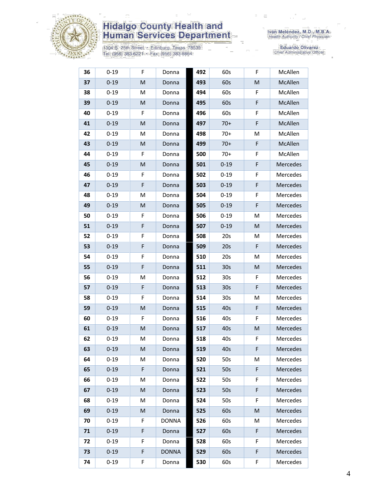

1304 S. 25th Street · Edinburg, Texas 78539<br>Tel: (956) 383-6221 · Fax: (956) 383-8864

| 36 | $0 - 19$ | F | Donna        | 492 | 60s             | F | McAllen  |
|----|----------|---|--------------|-----|-----------------|---|----------|
| 37 | $0 - 19$ | M | Donna        | 493 | 60s             | M | McAllen  |
| 38 | $0 - 19$ | M | Donna        | 494 | 60s             | F | McAllen  |
| 39 | $0 - 19$ | M | Donna        | 495 | 60s             | F | McAllen  |
| 40 | $0 - 19$ | F | Donna        | 496 | 60s             | F | McAllen  |
| 41 | $0 - 19$ | M | Donna        | 497 | $70+$           | F | McAllen  |
| 42 | $0 - 19$ | M | Donna        | 498 | $70+$           | M | McAllen  |
| 43 | $0 - 19$ | M | Donna        | 499 | $70+$           | F | McAllen  |
| 44 | $0 - 19$ | F | Donna        | 500 | $70+$           | F | McAllen  |
| 45 | $0 - 19$ | M | Donna        | 501 | $0 - 19$        | F | Mercedes |
| 46 | $0 - 19$ | F | Donna        | 502 | $0 - 19$        | F | Mercedes |
| 47 | $0 - 19$ | F | Donna        | 503 | $0 - 19$        | F | Mercedes |
| 48 | $0 - 19$ | M | Donna        | 504 | $0 - 19$        | F | Mercedes |
| 49 | $0 - 19$ | M | Donna        | 505 | $0 - 19$        | F | Mercedes |
| 50 | $0 - 19$ | F | Donna        | 506 | $0 - 19$        | M | Mercedes |
| 51 | $0 - 19$ | F | Donna        | 507 | $0 - 19$        | M | Mercedes |
| 52 | $0 - 19$ | F | Donna        | 508 | 20s             | M | Mercedes |
| 53 | $0 - 19$ | F | Donna        | 509 | 20s             | F | Mercedes |
| 54 | $0 - 19$ | F | Donna        | 510 | 20s             | М | Mercedes |
| 55 | $0 - 19$ | F | Donna        | 511 | 30 <sub>s</sub> | M | Mercedes |
| 56 | $0 - 19$ | M | Donna        | 512 | 30 <sub>s</sub> | F | Mercedes |
| 57 | $0 - 19$ | F | Donna        | 513 | 30 <sub>s</sub> | F | Mercedes |
| 58 | $0 - 19$ | F | Donna        | 514 | 30 <sub>s</sub> | M | Mercedes |
| 59 | $0 - 19$ | M | Donna        | 515 | 40s             | F | Mercedes |
| 60 | $0 - 19$ | F | Donna        | 516 | 40s             | F | Mercedes |
| 61 | $0 - 19$ | M | Donna        | 517 | 40s             | M | Mercedes |
| 62 | $0 - 19$ | M | Donna        | 518 | 40s             | F | Mercedes |
| 63 | $0 - 19$ | M | Donna        | 519 | 40s             | F | Mercedes |
| 64 | $0 - 19$ | М | Donna        | 520 | 50s             | М | Mercedes |
| 65 | $0 - 19$ | F | Donna        | 521 | 50s             | F | Mercedes |
| 66 | $0 - 19$ | М | Donna        | 522 | 50s             | F | Mercedes |
| 67 | $0 - 19$ | M | Donna        | 523 | 50s             | F | Mercedes |
| 68 | $0 - 19$ | M | Donna        | 524 | 50s             | F | Mercedes |
| 69 | $0 - 19$ | M | Donna        | 525 | 60s             | M | Mercedes |
| 70 | $0 - 19$ | F | <b>DONNA</b> | 526 | 60s             | M | Mercedes |
| 71 | $0 - 19$ | F | Donna        | 527 | 60s             | F | Mercedes |
| 72 | $0 - 19$ | F | Donna        | 528 | 60s             | F | Mercedes |
| 73 | $0 - 19$ | F | <b>DONNA</b> | 529 | 60s             | F | Mercedes |
| 74 | $0 - 19$ | F | Donna        | 530 | 60s             | F | Mercedes |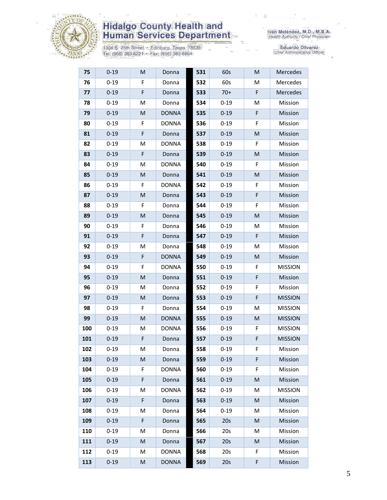

1304 S. 25th Street • Edinburg, Texas 78539<br>Tel: (956) 383-6221 • Fax: (956) 383-8864

| 75  | $0 - 19$ | M | Donna        | 531 | 60s      | M | Mercedes       |
|-----|----------|---|--------------|-----|----------|---|----------------|
| 76  | $0 - 19$ | F | Donna        | 532 | 60s      | M | Mercedes       |
| 77  | $0 - 19$ | F | Donna        | 533 | $70+$    | F | Mercedes       |
| 78  | $0 - 19$ | M | Donna        | 534 | $0 - 19$ | Μ | Mission        |
| 79  | $0 - 19$ | M | <b>DONNA</b> | 535 | $0 - 19$ | F | Mission        |
| 80  | $0 - 19$ | F | <b>DONNA</b> | 536 | $0 - 19$ | F | Mission        |
| 81  | $0 - 19$ | F | Donna        | 537 | $0 - 19$ | M | Mission        |
| 82  | $0 - 19$ | M | <b>DONNA</b> | 538 | $0 - 19$ | F | Mission        |
| 83  | $0 - 19$ | F | Donna        | 539 | $0 - 19$ | M | Mission        |
| 84  | $0 - 19$ | M | <b>DONNA</b> | 540 | $0 - 19$ | F | Mission        |
| 85  | $0 - 19$ | M | Donna        | 541 | $0 - 19$ | M | Mission        |
| 86  | $0 - 19$ | F | <b>DONNA</b> | 542 | $0 - 19$ | F | Mission        |
| 87  | $0 - 19$ | M | Donna        | 543 | $0 - 19$ | F | Mission        |
| 88  | $0 - 19$ | F | Donna        | 544 | $0 - 19$ | F | Mission        |
| 89  | $0 - 19$ | M | Donna        | 545 | $0 - 19$ | M | Mission        |
| 90  | $0 - 19$ | F | Donna        | 546 | $0 - 19$ | Μ | Mission        |
| 91  | $0 - 19$ | F | Donna        | 547 | $0 - 19$ | F | Mission        |
| 92  | $0 - 19$ | M | Donna        | 548 | $0 - 19$ | Μ | Mission        |
| 93  | $0 - 19$ | F | <b>DONNA</b> | 549 | $0 - 19$ | M | Mission        |
| 94  | $0 - 19$ | F | <b>DONNA</b> | 550 | $0 - 19$ | F | <b>MISSION</b> |
| 95  | $0 - 19$ | M | Donna        | 551 | $0 - 19$ | F | Mission        |
| 96  | $0 - 19$ | M | Donna        | 552 | $0 - 19$ | F | Mission        |
| 97  | $0 - 19$ | M | Donna        | 553 | $0 - 19$ | F | <b>MISSION</b> |
| 98  | $0 - 19$ | F | Donna        | 554 | $0 - 19$ | Μ | <b>MISSION</b> |
| 99  | $0 - 19$ | M | <b>DONNA</b> | 555 | $0 - 19$ | M | <b>MISSION</b> |
| 100 | $0 - 19$ | M | <b>DONNA</b> | 556 | $0 - 19$ | F | <b>MISSION</b> |
| 101 | $0 - 19$ | F | Donna        | 557 | $0 - 19$ | F | <b>MISSION</b> |
| 102 | $0 - 19$ | M | Donna        | 558 | $0 - 19$ | F | Mission        |
| 103 | $0 - 19$ | M | Donna        | 559 | $0 - 19$ | F | Mission        |
| 104 | $0 - 19$ | F | <b>DONNA</b> | 560 | $0 - 19$ | F | Mission        |
| 105 | $0 - 19$ | F | Donna        | 561 | $0 - 19$ | M | Mission        |
| 106 | $0 - 19$ | M | <b>DONNA</b> | 562 | $0 - 19$ | M | <b>MISSION</b> |
| 107 | $0 - 19$ | F | Donna        | 563 | $0 - 19$ | M | Mission        |
| 108 | $0 - 19$ | Μ | Donna        | 564 | $0 - 19$ | M | Mission        |
| 109 | $0 - 19$ | F | Donna        | 565 | 20s      | M | Mission        |
| 110 | $0 - 19$ | M | Donna        | 566 | 20s      | М | Mission        |
| 111 | $0 - 19$ | M | Donna        | 567 | 20s      | M | Mission        |
| 112 | $0 - 19$ | M | <b>DONNA</b> | 568 | 20s      | F | Mission        |
| 113 | $0 - 19$ | M | <b>DONNA</b> | 569 | 20s      | F | Mission        |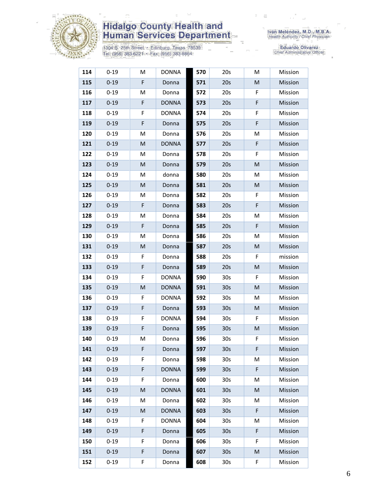

1304 S. 25th Street • Edinburg, Texas 78539<br>Tel: (956) 383-6221 • Fax: (956) 383-8864

| 114 | $0 - 19$ | M | <b>DONNA</b> | 570 | 20s             | M | Mission |
|-----|----------|---|--------------|-----|-----------------|---|---------|
| 115 | $0 - 19$ | F | Donna        | 571 | 20s             | M | Mission |
| 116 | $0 - 19$ | M | Donna        | 572 | 20s             | F | Mission |
| 117 | $0 - 19$ | F | <b>DONNA</b> | 573 | 20s             | F | Mission |
| 118 | $0 - 19$ | F | <b>DONNA</b> | 574 | 20s             | F | Mission |
| 119 | $0 - 19$ | F | Donna        | 575 | 20s             | F | Mission |
| 120 | $0 - 19$ | M | Donna        | 576 | 20s             | M | Mission |
| 121 | $0 - 19$ | M | <b>DONNA</b> | 577 | 20s             | F | Mission |
| 122 | $0 - 19$ | M | Donna        | 578 | 20s             | F | Mission |
| 123 | $0 - 19$ | M | Donna        | 579 | 20s             | M | Mission |
| 124 | $0 - 19$ | M | donna        | 580 | 20s             | M | Mission |
| 125 | $0 - 19$ | M | Donna        | 581 | 20s             | M | Mission |
| 126 | $0 - 19$ | М | Donna        | 582 | 20s             | F | Mission |
| 127 | $0 - 19$ | F | Donna        | 583 | 20s             | F | Mission |
| 128 | $0 - 19$ | M | Donna        | 584 | 20s             | M | Mission |
| 129 | $0 - 19$ | F | Donna        | 585 | 20s             | F | Mission |
| 130 | $0 - 19$ | M | Donna        | 586 | 20s             | M | Mission |
| 131 | $0 - 19$ | M | Donna        | 587 | 20s             | M | Mission |
| 132 | $0 - 19$ | F | Donna        | 588 | 20s             | F | mission |
| 133 | $0 - 19$ | F | Donna        | 589 | 20s             | M | Mission |
| 134 | $0 - 19$ | F | <b>DONNA</b> | 590 | 30 <sub>s</sub> | F | Mission |
| 135 | $0 - 19$ | M | <b>DONNA</b> | 591 | 30 <sub>s</sub> | M | Mission |
| 136 | $0 - 19$ | F | <b>DONNA</b> | 592 | 30 <sub>s</sub> | М | Mission |
| 137 | $0 - 19$ | F | Donna        | 593 | 30 <sub>s</sub> | M | Mission |
| 138 | $0 - 19$ | F | <b>DONNA</b> | 594 | 30 <sub>s</sub> | F | Mission |
| 139 | $0 - 19$ | F | Donna        | 595 | 30 <sub>s</sub> | M | Mission |
| 140 | $0 - 19$ | M | Donna        | 596 | 30 <sub>s</sub> | F | Mission |
| 141 | $0 - 19$ | F | Donna        | 597 | 30 <sub>s</sub> | F | Mission |
| 142 | $0 - 19$ | F | Donna        | 598 | 30 <sub>s</sub> | M | Mission |
| 143 | $0 - 19$ | F | <b>DONNA</b> | 599 | 30 <sub>s</sub> | F | Mission |
| 144 | $0 - 19$ | F | Donna        | 600 | 30 <sub>s</sub> | M | Mission |
| 145 | $0 - 19$ | M | <b>DONNA</b> | 601 | 30 <sub>s</sub> | M | Mission |
| 146 | $0 - 19$ | M | Donna        | 602 | 30 <sub>s</sub> | М | Mission |
| 147 | $0 - 19$ | M | <b>DONNA</b> | 603 | 30 <sub>s</sub> | F | Mission |
| 148 | $0 - 19$ | F | <b>DONNA</b> | 604 | 30 <sub>s</sub> | M | Mission |
| 149 | $0 - 19$ | F | Donna        | 605 | 30 <sub>s</sub> | F | Mission |
| 150 | $0 - 19$ | F | Donna        | 606 | 30 <sub>s</sub> | F | Mission |
| 151 | $0 - 19$ | F | Donna        | 607 | 30 <sub>s</sub> | М | Mission |
| 152 | $0 - 19$ | F | Donna        | 608 | 30 <sub>s</sub> | F | Mission |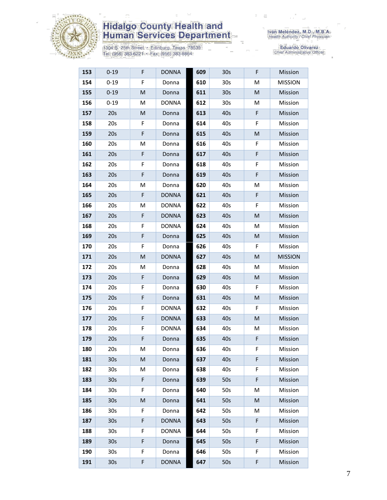

1304 S. 25th Street • Edinburg, Texas 78539<br>Tel: (956) 383-6221 • Fax: (956) 383-8864

| 153 | $0 - 19$        | F           | <b>DONNA</b> | 609 | 30s             | F | Mission        |
|-----|-----------------|-------------|--------------|-----|-----------------|---|----------------|
| 154 | $0 - 19$        | F           | Donna        | 610 | 30s             | Μ | <b>MISSION</b> |
| 155 | $0 - 19$        | M           | Donna        | 611 | 30 <sub>s</sub> | M | Mission        |
| 156 | $0 - 19$        | M           | <b>DONNA</b> | 612 | 30 <sub>s</sub> | м | Mission        |
| 157 | 20s             | M           | Donna        | 613 | 40s             | F | Mission        |
| 158 | 20s             | F           | Donna        | 614 | 40s             | F | Mission        |
| 159 | 20s             | F           | Donna        | 615 | 40s             | M | Mission        |
| 160 | 20s             | M           | Donna        | 616 | 40s             | F | Mission        |
| 161 | 20s             | F           | Donna        | 617 | 40s             | F | Mission        |
| 162 | 20s             | F           | Donna        | 618 | 40s             | F | Mission        |
| 163 | 20s             | F           | Donna        | 619 | 40s             | F | Mission        |
| 164 | 20s             | M           | Donna        | 620 | 40s             | M | Mission        |
| 165 | 20s             | F           | <b>DONNA</b> | 621 | 40s             | F | Mission        |
| 166 | 20 <sub>s</sub> | M           | <b>DONNA</b> | 622 | 40s             | F | Mission        |
| 167 | 20s             | $\mathsf F$ | <b>DONNA</b> | 623 | 40s             | M | Mission        |
| 168 | 20s             | F           | <b>DONNA</b> | 624 | 40s             | Μ | Mission        |
| 169 | 20s             | F           | Donna        | 625 | 40s             | M | Mission        |
| 170 | 20s             | F           | Donna        | 626 | 40s             | F | Mission        |
| 171 | 20s             | M           | <b>DONNA</b> | 627 | 40s             | M | <b>MISSION</b> |
| 172 | 20s             | M           | Donna        | 628 | 40s             | Μ | Mission        |
| 173 | 20s             | F           | Donna        | 629 | 40s             | M | Mission        |
| 174 | 20s             | F           | Donna        | 630 | 40s             | F | Mission        |
| 175 | 20s             | F           | Donna        | 631 | 40s             | M | Mission        |
| 176 | 20s             | F           | <b>DONNA</b> | 632 | 40s             | F | Mission        |
| 177 | 20s             | F           | <b>DONNA</b> | 633 | 40s             | M | Mission        |
| 178 | 20s             | F           | <b>DONNA</b> | 634 | 40s             | Μ | Mission        |
| 179 | 20s             | F           | Donna        | 635 | 40s             | F | Mission        |
| 180 | 20s             | м           | Donna        | 636 | 40s             | F | Mission        |
| 181 | 30 <sub>s</sub> | M           | Donna        | 637 | 40s             | F | Mission        |
| 182 | 30s             | М           | Donna        | 638 | 40s             | F | Mission        |
| 183 | 30 <sub>s</sub> | F           | Donna        | 639 | 50s             | F | Mission        |
| 184 | 30s             | F           | Donna        | 640 | 50s             | Μ | Mission        |
| 185 | 30 <sub>s</sub> | M           | Donna        | 641 | 50s             | M | Mission        |
| 186 | 30 <sub>s</sub> | F           | Donna        | 642 | 50s             | Μ | Mission        |
| 187 | 30 <sub>s</sub> | F           | <b>DONNA</b> | 643 | 50s             | F | Mission        |
| 188 | 30 <sub>s</sub> | F           | <b>DONNA</b> | 644 | 50s             | F | Mission        |
| 189 | 30 <sub>s</sub> | F           | Donna        | 645 | 50s             | F | Mission        |
| 190 | 30 <sub>s</sub> | F           | Donna        | 646 | 50s             | F | Mission        |
| 191 | 30 <sub>s</sub> | F           | <b>DONNA</b> | 647 | 50s             | F | Mission        |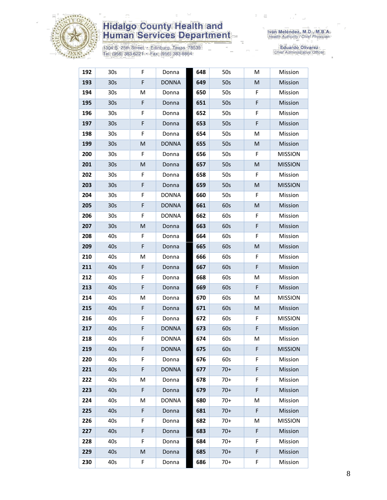

1304 S. 25th Street • Edinburg, Texas 78539<br>Tel: (956) 383-6221 • Fax: (956) 383-8864

| 192 | 30 <sub>s</sub> | F           | Donna        | 648 | 50s   | M | Mission        |
|-----|-----------------|-------------|--------------|-----|-------|---|----------------|
| 193 | 30 <sub>s</sub> | F           | <b>DONNA</b> | 649 | 50s   | M | Mission        |
| 194 | 30 <sub>s</sub> | M           | Donna        | 650 | 50s   | F | Mission        |
| 195 | 30 <sub>s</sub> | $\mathsf F$ | Donna        | 651 | 50s   | F | Mission        |
| 196 | 30 <sub>s</sub> | F           | Donna        | 652 | 50s   | F | Mission        |
| 197 | 30 <sub>s</sub> | $\mathsf F$ | Donna        | 653 | 50s   | F | Mission        |
| 198 | 30 <sub>s</sub> | F           | Donna        | 654 | 50s   | M | Mission        |
| 199 | 30 <sub>s</sub> | M           | <b>DONNA</b> | 655 | 50s   | M | Mission        |
| 200 | 30 <sub>s</sub> | F           | Donna        | 656 | 50s   | F | <b>MISSION</b> |
| 201 | 30 <sub>s</sub> | M           | Donna        | 657 | 50s   | M | <b>MISSION</b> |
| 202 | 30 <sub>s</sub> | F           | Donna        | 658 | 50s   | F | Mission        |
| 203 | 30 <sub>s</sub> | $\mathsf F$ | Donna        | 659 | 50s   | M | <b>MISSION</b> |
| 204 | 30s             | F           | <b>DONNA</b> | 660 | 50s   | F | Mission        |
| 205 | 30 <sub>s</sub> | F           | <b>DONNA</b> | 661 | 60s   | M | Mission        |
| 206 | 30 <sub>s</sub> | F           | <b>DONNA</b> | 662 | 60s   | F | Mission        |
| 207 | 30 <sub>s</sub> | M           | Donna        | 663 | 60s   | F | Mission        |
| 208 | 40s             | F           | Donna        | 664 | 60s   | F | Mission        |
| 209 | 40s             | F           | Donna        | 665 | 60s   | M | Mission        |
| 210 | 40s             | M           | Donna        | 666 | 60s   | F | Mission        |
| 211 | 40s             | F           | Donna        | 667 | 60s   | F | Mission        |
| 212 | 40s             | F           | Donna        | 668 | 60s   | M | Mission        |
| 213 | 40s             | F           | Donna        | 669 | 60s   | F | Mission        |
| 214 | 40s             | М           | Donna        | 670 | 60s   | М | <b>MISSION</b> |
| 215 | 40s             | F           | Donna        | 671 | 60s   | M | Mission        |
| 216 | 40s             | F           | Donna        | 672 | 60s   | F | <b>MISSION</b> |
| 217 | 40s             | $\mathsf F$ | <b>DONNA</b> | 673 | 60s   | F | Mission        |
| 218 | 40s             | F           | <b>DONNA</b> | 674 | 60s   | Μ | Mission        |
| 219 | 40s             | F           | <b>DONNA</b> | 675 | 60s   | F | <b>MISSION</b> |
| 220 | 40s             | F           | Donna        | 676 | 60s   | F | Mission        |
| 221 | 40s             | F           | <b>DONNA</b> | 677 | $70+$ | F | Mission        |
| 222 | 40s             | M           | Donna        | 678 | $70+$ | F | Mission        |
| 223 | 40s             | F           | Donna        | 679 | $70+$ | F | Mission        |
| 224 | 40s             | M           | <b>DONNA</b> | 680 | $70+$ | М | Mission        |
| 225 | 40s             | F           | Donna        | 681 | $70+$ | F | Mission        |
| 226 | 40s             | F           | Donna        | 682 | $70+$ | М | <b>MISSION</b> |
| 227 | 40s             | F           | Donna        | 683 | $70+$ | F | Mission        |
| 228 | 40s             | F           | Donna        | 684 | $70+$ | F | Mission        |
| 229 | 40s             | M           | Donna        | 685 | $70+$ | F | Mission        |
| 230 | 40s             | F           | Donna        | 686 | $70+$ | F | Mission        |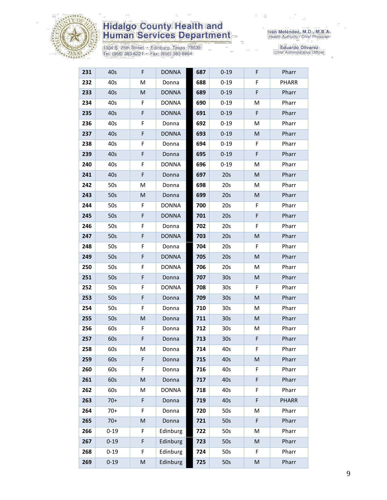

1304 S. 25th Street • Edinburg, Texas 78539<br>Tel: (956) 383-6221 • Fax: (956) 383-8864

| 231 | 40s      | $\mathsf F$ | <b>DONNA</b> | 687 | $0 - 19$        | F         | Pharr        |
|-----|----------|-------------|--------------|-----|-----------------|-----------|--------------|
| 232 | 40s      | M           | Donna        | 688 | $0 - 19$        | F         | <b>PHARR</b> |
| 233 | 40s      | M           | <b>DONNA</b> | 689 | $0 - 19$        | F         | Pharr        |
| 234 | 40s      | F           | <b>DONNA</b> | 690 | $0 - 19$        | M         | Pharr        |
| 235 | 40s      | F           | <b>DONNA</b> | 691 | $0 - 19$        | F         | Pharr        |
| 236 | 40s      | F           | Donna        | 692 | $0 - 19$        | M         | Pharr        |
| 237 | 40s      | F           | <b>DONNA</b> | 693 | $0 - 19$        | M         | Pharr        |
| 238 | 40s      | F           | Donna        | 694 | $0 - 19$        | F         | Pharr        |
| 239 | 40s      | $\mathsf F$ | Donna        | 695 | $0 - 19$        | F         | Pharr        |
| 240 | 40s      | F           | <b>DONNA</b> | 696 | $0 - 19$        | М         | Pharr        |
| 241 | 40s      | F           | Donna        | 697 | 20s             | M         | Pharr        |
| 242 | 50s      | M           | Donna        | 698 | 20s             | M         | Pharr        |
| 243 | 50s      | M           | Donna        | 699 | 20s             | M         | Pharr        |
| 244 | 50s      | F           | <b>DONNA</b> | 700 | 20s             | F         | Pharr        |
| 245 | 50s      | F           | <b>DONNA</b> | 701 | 20s             | F         | Pharr        |
| 246 | 50s      | F           | Donna        | 702 | 20s             | F         | Pharr        |
| 247 | 50s      | $\mathsf F$ | <b>DONNA</b> | 703 | 20s             | M         | Pharr        |
| 248 | 50s      | F           | Donna        | 704 | 20s             | F         | Pharr        |
| 249 | 50s      | F           | <b>DONNA</b> | 705 | 20s             | M         | Pharr        |
| 250 | 50s      | F           | <b>DONNA</b> | 706 | 20s             | М         | Pharr        |
| 251 | 50s      | $\mathsf F$ | Donna        | 707 | 30 <sub>s</sub> | M         | Pharr        |
| 252 | 50s      | F           | <b>DONNA</b> | 708 | 30 <sub>s</sub> | F         | Pharr        |
| 253 | 50s      | $\mathsf F$ | Donna        | 709 | 30 <sub>s</sub> | M         | Pharr        |
| 254 | 50s      | F           | Donna        | 710 | 30 <sub>s</sub> | М         | Pharr        |
| 255 | 50s      | M           | Donna        | 711 | 30 <sub>s</sub> | M         | Pharr        |
| 256 | 60s      | F           | Donna        | 712 | 30 <sub>s</sub> | M         | Pharr        |
| 257 | 60s      | F           | Donna        | 713 | 30 <sub>s</sub> | F         | Pharr        |
| 258 | 60s      | M           | Donna        | 714 | 40s             | F         | Pharr        |
| 259 | 60s      | F           | Donna        | 715 | 40s             | M         | Pharr        |
| 260 | 60s      | F           | Donna        | 716 | 40s             | F         | Pharr        |
| 261 | 60s      | M           | Donna        | 717 | 40s             | F         | Pharr        |
| 262 | 60s      | M           | <b>DONNA</b> | 718 | 40s             | F         | Pharr        |
| 263 | $70+$    | F           | Donna        | 719 | 40s             | F         | <b>PHARR</b> |
| 264 | $70+$    | F           | Donna        | 720 | 50s             | M         | Pharr        |
| 265 | $70+$    | M           | Donna        | 721 | 50s             | F         | Pharr        |
| 266 | $0 - 19$ | F           | Edinburg     | 722 | 50s             | M         | Pharr        |
| 267 | $0 - 19$ | $\mathsf F$ | Edinburg     | 723 | 50s             | M         | Pharr        |
| 268 | $0 - 19$ | F           | Edinburg     | 724 | 50s             | F         | Pharr        |
| 269 | $0 - 19$ | M           | Edinburg     | 725 | 50s             | ${\sf M}$ | Pharr        |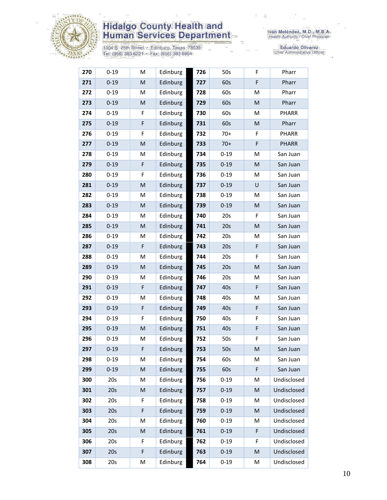

1304 S. 25th Street • Edinburg, Texas 78539<br>Tel: (956) 383-6221 • Fax: (956) 383-8864

Iván Meléndez, M.D., M.B.A.<br>Health Authority / Chief Physician

| 270 | $0 - 19$ | M                                                                                                          | Edinburg | 726 | 50s      | F | Pharr        |
|-----|----------|------------------------------------------------------------------------------------------------------------|----------|-----|----------|---|--------------|
| 271 | $0 - 19$ | ${\sf M}$                                                                                                  | Edinburg | 727 | 60s      | F | Pharr        |
| 272 | $0 - 19$ | M                                                                                                          | Edinburg | 728 | 60s      | M | Pharr        |
| 273 | $0 - 19$ | $\mathsf{M}% _{T}=\mathsf{M}_{T}\!\left( a,b\right) ,\ \mathsf{M}_{T}=\mathsf{M}_{T}\!\left( a,b\right) ,$ | Edinburg | 729 | 60s      | M | Pharr        |
| 274 | $0 - 19$ | F.                                                                                                         | Edinburg | 730 | 60s      | Μ | PHARR        |
| 275 | $0 - 19$ | F                                                                                                          | Edinburg | 731 | 60s      | M | Pharr        |
| 276 | $0 - 19$ | F                                                                                                          | Edinburg | 732 | $70+$    | F | PHARR        |
| 277 | $0 - 19$ | M                                                                                                          | Edinburg | 733 | $70+$    | F | <b>PHARR</b> |
| 278 | $0 - 19$ | M                                                                                                          | Edinburg | 734 | $0 - 19$ | м | San Juan     |
| 279 | $0 - 19$ | F                                                                                                          | Edinburg | 735 | $0 - 19$ | M | San Juan     |
| 280 | $0 - 19$ | F                                                                                                          | Edinburg | 736 | $0 - 19$ | Μ | San Juan     |
| 281 | $0 - 19$ | ${\sf M}$                                                                                                  | Edinburg | 737 | $0 - 19$ | U | San Juan     |
| 282 | $0 - 19$ | M                                                                                                          | Edinburg | 738 | $0 - 19$ | М | San Juan     |
| 283 | $0 - 19$ | M                                                                                                          | Edinburg | 739 | $0 - 19$ | M | San Juan     |
| 284 | $0 - 19$ | M                                                                                                          | Edinburg | 740 | 20s      | F | San Juan     |
| 285 | $0 - 19$ | M                                                                                                          | Edinburg | 741 | 20s      | M | San Juan     |
| 286 | $0 - 19$ | M                                                                                                          | Edinburg | 742 | 20s      | М | San Juan     |
| 287 | $0 - 19$ | F                                                                                                          | Edinburg | 743 | 20s      | F | San Juan     |
| 288 | $0 - 19$ | M                                                                                                          | Edinburg | 744 | 20s      | F | San Juan     |
| 289 | $0 - 19$ | M                                                                                                          | Edinburg | 745 | 20s      | M | San Juan     |
| 290 | $0 - 19$ | M                                                                                                          | Edinburg | 746 | 20s      | м | San Juan     |
| 291 | $0 - 19$ | F                                                                                                          | Edinburg | 747 | 40s      | F | San Juan     |
| 292 | $0 - 19$ | M                                                                                                          | Edinburg | 748 | 40s      | Μ | San Juan     |
| 293 | $0 - 19$ | F                                                                                                          | Edinburg | 749 | 40s      | F | San Juan     |
| 294 | $0 - 19$ | F                                                                                                          | Edinburg | 750 | 40s      | F | San Juan     |
| 295 | $0 - 19$ | ${\sf M}$                                                                                                  | Edinburg | 751 | 40s      | F | San Juan     |
| 296 | $0 - 19$ | M                                                                                                          | Edinburg | 752 | 50s      | F | San Juan     |
| 297 | $0 - 19$ | F                                                                                                          | Edinburg | 753 | 50s      | M | San Juan     |
| 298 | $0 - 19$ | M                                                                                                          | Edinburg | 754 | 60s      | Μ | San Juan     |
| 299 | $0 - 19$ | ${\sf M}$                                                                                                  | Edinburg | 755 | 60s      | F | San Juan     |
| 300 | 20s      | M                                                                                                          | Edinburg | 756 | $0 - 19$ | Μ | Undisclosed  |
| 301 | 20s      | ${\sf M}$                                                                                                  | Edinburg | 757 | $0 - 19$ | M | Undisclosed  |
| 302 | 20s      | F                                                                                                          | Edinburg | 758 | $0 - 19$ | Μ | Undisclosed  |
| 303 | 20s      | $\mathsf F$                                                                                                | Edinburg | 759 | $0 - 19$ | M | Undisclosed  |
| 304 | 20s      | M                                                                                                          | Edinburg | 760 | $0 - 19$ | Μ | Undisclosed  |
| 305 | 20s      | ${\sf M}$                                                                                                  | Edinburg | 761 | $0 - 19$ | F | Undisclosed  |
| 306 | 20s      | F                                                                                                          | Edinburg | 762 | $0 - 19$ | F | Undisclosed  |
| 307 | 20s      | F                                                                                                          | Edinburg | 763 | $0 - 19$ | M | Undisclosed  |
| 308 | 20s      | М                                                                                                          | Edinburg | 764 | $0 - 19$ | M | Undisclosed  |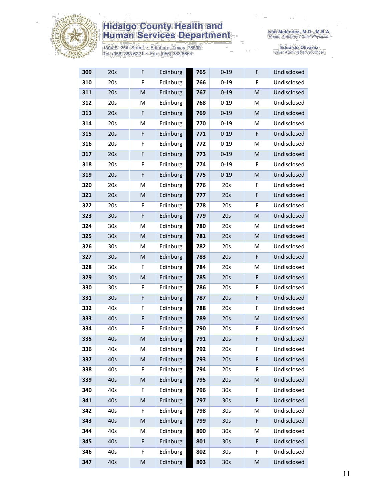

1304 S. 25th Street · Edinburg, Texas 78539<br>Tel: (956) 383-6221 · Fax: (956) 383-8864

Iván Meléndez, M.D., M.B.A.<br>Health Authority / Chief Physician

| 309 | 20s             | F         | Edinburg | 765 | $0 - 19$        | F | Undisclosed |
|-----|-----------------|-----------|----------|-----|-----------------|---|-------------|
| 310 | 20s             | F         | Edinburg | 766 | $0 - 19$        | F | Undisclosed |
| 311 | 20s             | ${\sf M}$ | Edinburg | 767 | $0 - 19$        | M | Undisclosed |
| 312 | 20s             | M         | Edinburg | 768 | $0 - 19$        | M | Undisclosed |
| 313 | 20s             | F         | Edinburg | 769 | $0 - 19$        | M | Undisclosed |
| 314 | 20s             | M         | Edinburg | 770 | $0 - 19$        | M | Undisclosed |
| 315 | 20s             | F         | Edinburg | 771 | $0 - 19$        | F | Undisclosed |
| 316 | 20s             | F         | Edinburg | 772 | $0 - 19$        | M | Undisclosed |
| 317 | 20s             | F         | Edinburg | 773 | $0 - 19$        | M | Undisclosed |
| 318 | 20s             | F         | Edinburg | 774 | $0 - 19$        | F | Undisclosed |
| 319 | 20s             | F         | Edinburg | 775 | $0 - 19$        | M | Undisclosed |
| 320 | 20s             | M         | Edinburg | 776 | 20s             | F | Undisclosed |
| 321 | 20s             | M         | Edinburg | 777 | 20s             | F | Undisclosed |
| 322 | 20s             | F         | Edinburg | 778 | 20s             | F | Undisclosed |
| 323 | 30 <sub>s</sub> | F         | Edinburg | 779 | 20s             | M | Undisclosed |
| 324 | 30 <sub>s</sub> | M         | Edinburg | 780 | 20s             | M | Undisclosed |
| 325 | 30 <sub>s</sub> | M         | Edinburg | 781 | 20s             | M | Undisclosed |
| 326 | 30 <sub>s</sub> | M         | Edinburg | 782 | 20s             | Μ | Undisclosed |
| 327 | 30 <sub>s</sub> | M         | Edinburg | 783 | 20s             | F | Undisclosed |
| 328 | 30 <sub>s</sub> | F         | Edinburg | 784 | 20s             | M | Undisclosed |
| 329 | 30 <sub>s</sub> | M         | Edinburg | 785 | 20s             | F | Undisclosed |
| 330 | 30 <sub>s</sub> | F         | Edinburg | 786 | 20s             | F | Undisclosed |
| 331 | 30s             | F         | Edinburg | 787 | 20s             | F | Undisclosed |
| 332 | 40s             | F         | Edinburg | 788 | 20s             | F | Undisclosed |
| 333 | 40s             | F         | Edinburg | 789 | 20s             | M | Undisclosed |
| 334 | 40s             | F         | Edinburg | 790 | 20s             | F | Undisclosed |
| 335 | 40s             | M         | Edinburg | 791 | 20s             | F | Undisclosed |
| 336 | 40s             | M         | Edinburg | 792 | 20s             | F | Undisclosed |
| 337 | 40s             | M         | Edinburg | 793 | 20s             | F | Undisclosed |
| 338 | 40s             | F         | Edinburg | 794 | 20s             | F | Undisclosed |
| 339 | 40s             | M         | Edinburg | 795 | 20s             | M | Undisclosed |
| 340 | 40s             | F         | Edinburg | 796 | 30 <sub>s</sub> | F | Undisclosed |
| 341 | 40s             | M         | Edinburg | 797 | 30 <sub>s</sub> | F | Undisclosed |
| 342 | 40s             | F         | Edinburg | 798 | 30 <sub>s</sub> | M | Undisclosed |
| 343 | 40s             | M         | Edinburg | 799 | 30 <sub>s</sub> | F | Undisclosed |
| 344 | 40s             | M         | Edinburg | 800 | 30 <sub>s</sub> | M | Undisclosed |
| 345 | 40s             | F         | Edinburg | 801 | 30 <sub>s</sub> | F | Undisclosed |
| 346 | 40s             | F         | Edinburg | 802 | 30 <sub>s</sub> | F | Undisclosed |
| 347 | 40s             | M         | Edinburg | 803 | 30s             | M | Undisclosed |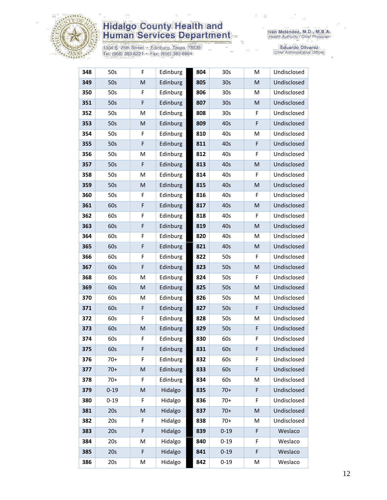

1304 S. 25th Street · Edinburg, Texas 78539<br>Tel: (956) 383-6221 · Fax: (956) 383-8864

| 348 | 50s      | F                                                                                                          | Edinburg | 804 | 30 <sub>s</sub> | M | Undisclosed |
|-----|----------|------------------------------------------------------------------------------------------------------------|----------|-----|-----------------|---|-------------|
| 349 | 50s      | ${\sf M}$                                                                                                  | Edinburg | 805 | 30 <sub>s</sub> | M | Undisclosed |
| 350 | 50s      | F                                                                                                          | Edinburg | 806 | 30 <sub>s</sub> | M | Undisclosed |
| 351 | 50s      | F                                                                                                          | Edinburg | 807 | 30 <sub>s</sub> | M | Undisclosed |
| 352 | 50s      | M                                                                                                          | Edinburg | 808 | 30 <sub>s</sub> | F | Undisclosed |
| 353 | 50s      | M                                                                                                          | Edinburg | 809 | 40s             | F | Undisclosed |
| 354 | 50s      | F                                                                                                          | Edinburg | 810 | 40s             | Μ | Undisclosed |
| 355 | 50s      | F                                                                                                          | Edinburg | 811 | 40s             | F | Undisclosed |
| 356 | 50s      | M                                                                                                          | Edinburg | 812 | 40s             | F | Undisclosed |
| 357 | 50s      | F                                                                                                          | Edinburg | 813 | 40s             | M | Undisclosed |
| 358 | 50s      | M                                                                                                          | Edinburg | 814 | 40s             | F | Undisclosed |
| 359 | 50s      | M                                                                                                          | Edinburg | 815 | 40s             | M | Undisclosed |
| 360 | 50s      | F                                                                                                          | Edinburg | 816 | 40s             | F | Undisclosed |
| 361 | 60s      | F                                                                                                          | Edinburg | 817 | 40s             | M | Undisclosed |
| 362 | 60s      | F                                                                                                          | Edinburg | 818 | 40s             | F | Undisclosed |
| 363 | 60s      | F                                                                                                          | Edinburg | 819 | 40s             | M | Undisclosed |
| 364 | 60s      | F                                                                                                          | Edinburg | 820 | 40s             | M | Undisclosed |
| 365 | 60s      | F                                                                                                          | Edinburg | 821 | 40s             | M | Undisclosed |
| 366 | 60s      | F                                                                                                          | Edinburg | 822 | 50s             | F | Undisclosed |
| 367 | 60s      | F                                                                                                          | Edinburg | 823 | 50s             | M | Undisclosed |
| 368 | 60s      | M                                                                                                          | Edinburg | 824 | 50s             | F | Undisclosed |
| 369 | 60s      | ${\sf M}$                                                                                                  | Edinburg | 825 | 50s             | M | Undisclosed |
| 370 | 60s      | M                                                                                                          | Edinburg | 826 | 50s             | М | Undisclosed |
| 371 | 60s      | F                                                                                                          | Edinburg | 827 | 50s             | F | Undisclosed |
| 372 | 60s      | F                                                                                                          | Edinburg | 828 | 50s             | М | Undisclosed |
| 373 | 60s      | ${\sf M}$                                                                                                  | Edinburg | 829 | 50s             | F | Undisclosed |
| 374 | 60s      | F                                                                                                          | Edinburg | 830 | 60s             | F | Undisclosed |
| 375 | 60s      | F                                                                                                          | Edinburg | 831 | 60s             | F | Undisclosed |
| 376 | $70+$    | F                                                                                                          | Edinburg | 832 | 60s             | F | Undisclosed |
| 377 | $70+$    | $\mathsf{M}% _{T}=\mathsf{M}_{T}\!\left( a,b\right) ,\ \mathsf{M}_{T}=\mathsf{M}_{T}\!\left( a,b\right) ,$ | Edinburg | 833 | 60s             | F | Undisclosed |
| 378 | $70+$    | F                                                                                                          | Edinburg | 834 | 60s             | M | Undisclosed |
| 379 | $0 - 19$ | $\mathsf{M}% _{T}=\mathsf{M}_{T}\!\left( a,b\right) ,\ \mathsf{M}_{T}=\mathsf{M}_{T}\!\left( a,b\right) ,$ | Hidalgo  | 835 | $70+$           | F | Undisclosed |
| 380 | $0 - 19$ | F                                                                                                          | Hidalgo  | 836 | $70+$           | F | Undisclosed |
| 381 | 20s      | ${\sf M}$                                                                                                  | Hidalgo  | 837 | $70+$           | M | Undisclosed |
| 382 | 20s      | F                                                                                                          | Hidalgo  | 838 | $70+$           | Μ | Undisclosed |
| 383 | 20s      | F                                                                                                          | Hidalgo  | 839 | $0 - 19$        | F | Weslaco     |
| 384 | 20s      | M                                                                                                          | Hidalgo  | 840 | $0 - 19$        | F | Weslaco     |
| 385 | 20s      | F                                                                                                          | Hidalgo  | 841 | $0 - 19$        | F | Weslaco     |
| 386 | 20s      | M                                                                                                          | Hidalgo  | 842 | $0 - 19$        | M | Weslaco     |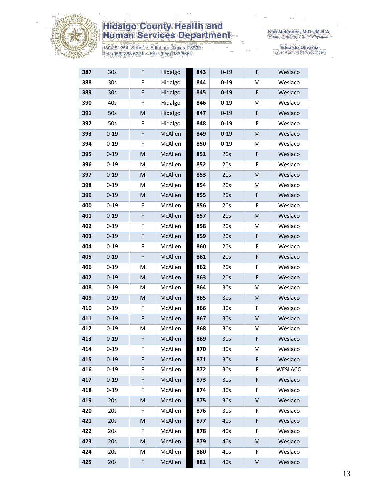

1304 S. 25th Street · Edinburg, Texas 78539<br>Tel: (956) 383-6221 · Fax: (956) 383-8864

| 387 | 30 <sub>s</sub> | F           | Hidalgo | 843 | $0 - 19$        | F | Weslaco        |
|-----|-----------------|-------------|---------|-----|-----------------|---|----------------|
| 388 | 30 <sub>s</sub> | F           | Hidalgo | 844 | $0 - 19$        | M | Weslaco        |
| 389 | 30 <sub>s</sub> | F           | Hidalgo | 845 | $0 - 19$        | F | Weslaco        |
| 390 | 40s             | $\mathsf F$ | Hidalgo | 846 | $0 - 19$        | M | Weslaco        |
| 391 | 50s             | M           | Hidalgo | 847 | $0 - 19$        | F | Weslaco        |
| 392 | 50s             | F           | Hidalgo | 848 | $0 - 19$        | F | Weslaco        |
| 393 | $0 - 19$        | F           | McAllen | 849 | $0 - 19$        | M | Weslaco        |
| 394 | $0 - 19$        | F           | McAllen | 850 | $0 - 19$        | M | Weslaco        |
| 395 | $0 - 19$        | M           | McAllen | 851 | 20s             | F | Weslaco        |
| 396 | $0 - 19$        | M           | McAllen | 852 | 20s             | F | Weslaco        |
| 397 | $0 - 19$        | M           | McAllen | 853 | 20s             | M | Weslaco        |
| 398 | $0 - 19$        | M           | McAllen | 854 | 20s             | M | Weslaco        |
| 399 | $0 - 19$        | M           | McAllen | 855 | 20s             | F | Weslaco        |
| 400 | $0 - 19$        | $\mathsf F$ | McAllen | 856 | 20s             | F | Weslaco        |
| 401 | $0 - 19$        | $\mathsf F$ | McAllen | 857 | 20s             | M | Weslaco        |
| 402 | $0 - 19$        | F           | McAllen | 858 | 20s             | M | Weslaco        |
| 403 | $0 - 19$        | F           | McAllen | 859 | 20s             | F | Weslaco        |
| 404 | $0 - 19$        | $\mathsf F$ | McAllen | 860 | 20s             | F | Weslaco        |
| 405 | $0 - 19$        | F           | McAllen | 861 | 20s             | F | Weslaco        |
| 406 | $0 - 19$        | M           | McAllen | 862 | 20s             | F | Weslaco        |
| 407 | $0 - 19$        | M           | McAllen | 863 | 20s             | F | Weslaco        |
| 408 | $0 - 19$        | M           | McAllen | 864 | 30s             | M | Weslaco        |
| 409 | $0 - 19$        | M           | McAllen | 865 | 30s             | M | Weslaco        |
| 410 | $0 - 19$        | F           | McAllen | 866 | 30 <sub>s</sub> | F | Weslaco        |
| 411 | $0 - 19$        | F           | McAllen | 867 | 30 <sub>s</sub> | M | Weslaco        |
| 412 | $0 - 19$        | M           | McAllen | 868 | 30s             | M | Weslaco        |
| 413 | $0 - 19$        | F           | McAllen | 869 | 30 <sub>s</sub> | F | Weslaco        |
| 414 | $0 - 19$        | F           | McAllen | 870 | 30s             | M | Weslaco        |
| 415 | $0 - 19$        | F           | McAllen | 871 | 30 <sub>s</sub> | F | Weslaco        |
| 416 | $0 - 19$        | F           | McAllen | 872 | 30 <sub>s</sub> | F | <b>WESLACO</b> |
| 417 | $0 - 19$        | F           | McAllen | 873 | 30 <sub>s</sub> | F | Weslaco        |
| 418 | $0 - 19$        | F           | McAllen | 874 | 30s             | F | Weslaco        |
| 419 | 20s             | M           | McAllen | 875 | 30 <sub>s</sub> | M | Weslaco        |
| 420 | 20s             | F           | McAllen | 876 | 30 <sub>s</sub> | F | Weslaco        |
| 421 | 20s             | M           | McAllen | 877 | 40s             | F | Weslaco        |
| 422 | 20s             | F           | McAllen | 878 | 40s             | F | Weslaco        |
| 423 | 20s             | M           | McAllen | 879 | 40s             | M | Weslaco        |
| 424 | 20s             | M           | McAllen | 880 | 40s             | F | Weslaco        |
| 425 | 20s             | F           | McAllen | 881 | 40s             | M | Weslaco        |